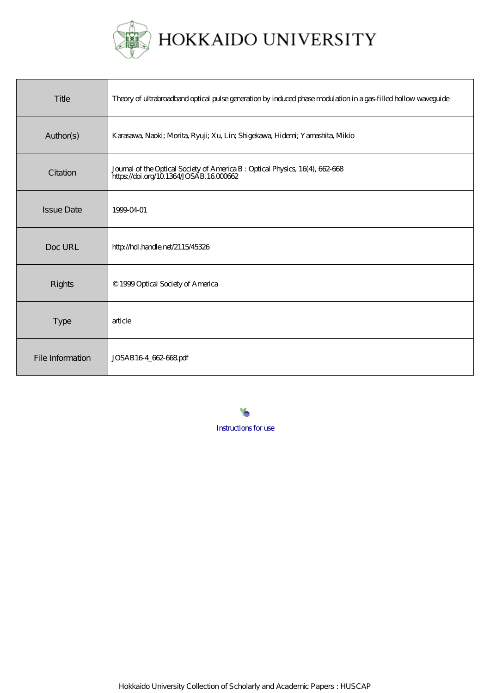

| Title             | Theory of ultrabroadband optical pulse generation by induced phase modulation in a gas-filled hollow waveguide           |
|-------------------|--------------------------------------------------------------------------------------------------------------------------|
| Author(s)         | Karasawa, Naoki; Morita, Ryuji; Xu, Lirr, Shigekawa, Hiderri; Yarnashita, Mikio                                          |
| Citation          | Journal of the Optical Society of America B : Optical Physics, 16(4), 662-668<br>https://doi.org/10.1364/JOSAB.16.000662 |
| <b>Issue Date</b> | 1999-04-01                                                                                                               |
| Doc URL           | http://hdl.handle.net/2115/45326                                                                                         |
| <b>Rights</b>     | © 1999 Optical Society of America                                                                                        |
| Type              | article                                                                                                                  |
| File Information  | JOSAB164_662-668pdf                                                                                                      |

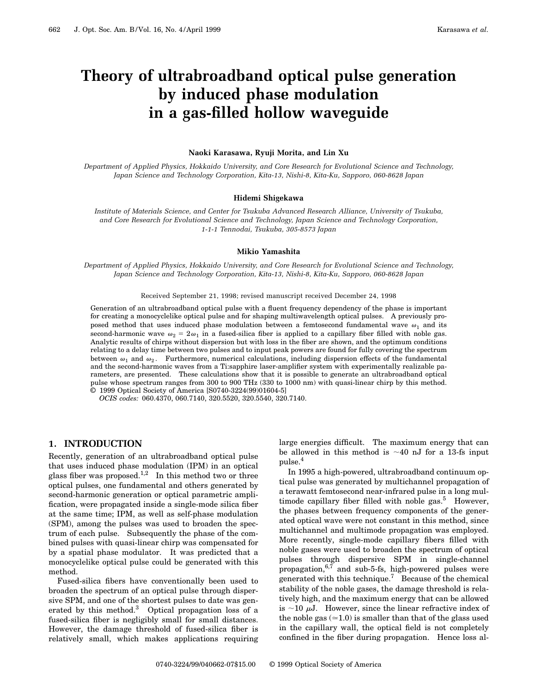# **Theory of ultrabroadband optical pulse generation by induced phase modulation in a gas-filled hollow waveguide**

#### **Naoki Karasawa, Ryuji Morita, and Lin Xu**

*Department of Applied Physics, Hokkaido University, and Core Research for Evolutional Science and Technology, Japan Science and Technology Corporation, Kita-13, Nishi-8, Kita-Ku, Sapporo, 060-8628 Japan*

#### **Hidemi Shigekawa**

*Institute of Materials Science, and Center for Tsukuba Advanced Research Alliance, University of Tsukuba, and Core Research for Evolutional Science and Technology, Japan Science and Technology Corporation, 1-1-1 Tennodai, Tsukuba, 305-8573 Japan*

#### **Mikio Yamashita**

*Department of Applied Physics, Hokkaido University, and Core Research for Evolutional Science and Technology, Japan Science and Technology Corporation, Kita-13, Nishi-8, Kita-Ku, Sapporo, 060-8628 Japan*

Received September 21, 1998; revised manuscript received December 24, 1998

Generation of an ultrabroadband optical pulse with a fluent frequency dependency of the phase is important for creating a monocyclelike optical pulse and for shaping multiwavelength optical pulses. A previously proposed method that uses induced phase modulation between a femtosecond fundamental wave  $\omega_1$  and its second-harmonic wave  $\omega_2 = 2\omega_1$  in a fused-silica fiber is applied to a capillary fiber filled with noble gas. Analytic results of chirps without dispersion but with loss in the fiber are shown, and the optimum conditions relating to a delay time between two pulses and to input peak powers are found for fully covering the spectrum between  $\omega_1$  and  $\omega_2$ . Furthermore, numerical calculations, including dispersion effects of the fundamental and the second-harmonic waves from a Ti:sapphire laser-amplifier system with experimentally realizable parameters, are presented. These calculations show that it is possible to generate an ultrabroadband optical pulse whose spectrum ranges from 300 to 900 THz (330 to 1000 nm) with quasi-linear chirp by this method. © 1999 Optical Society of America [S0740-3224(99)01604-5]

*OCIS codes:* 060.4370, 060.7140, 320.5520, 320.5540, 320.7140.

# **1. INTRODUCTION**

Recently, generation of an ultrabroadband optical pulse that uses induced phase modulation (IPM) in an optical glass fiber was proposed.<sup>1,2</sup> In this method two or three optical pulses, one fundamental and others generated by second-harmonic generation or optical parametric amplification, were propagated inside a single-mode silica fiber at the same time; IPM, as well as self-phase modulation (SPM), among the pulses was used to broaden the spectrum of each pulse. Subsequently the phase of the combined pulses with quasi-linear chirp was compensated for by a spatial phase modulator. It was predicted that a monocyclelike optical pulse could be generated with this method.

Fused-silica fibers have conventionally been used to broaden the spectrum of an optical pulse through dispersive SPM, and one of the shortest pulses to date was generated by this method.<sup>3</sup> Optical propagation loss of a fused-silica fiber is negligibly small for small distances. However, the damage threshold of fused-silica fiber is relatively small, which makes applications requiring large energies difficult. The maximum energy that can be allowed in this method is  $~13$ -fs input pulse.<sup>4</sup>

In 1995 a high-powered, ultrabroadband continuum optical pulse was generated by multichannel propagation of a terawatt femtosecond near-infrared pulse in a long multimode capillary fiber filled with noble  $gas<sup>5</sup>$  However, the phases between frequency components of the generated optical wave were not constant in this method, since multichannel and multimode propagation was employed. More recently, single-mode capillary fibers filled with noble gases were used to broaden the spectrum of optical pulses through dispersive SPM in single-channel propagation, $6,7$  and sub-5-fs, high-powered pulses were generated with this technique.<sup>7</sup> Because of the chemical stability of the noble gases, the damage threshold is relatively high, and the maximum energy that can be allowed is  $\sim$ 10  $\mu$ J. However, since the linear refractive index of the noble gas  $(\approx 1.0)$  is smaller than that of the glass used in the capillary wall, the optical field is not completely confined in the fiber during propagation. Hence loss al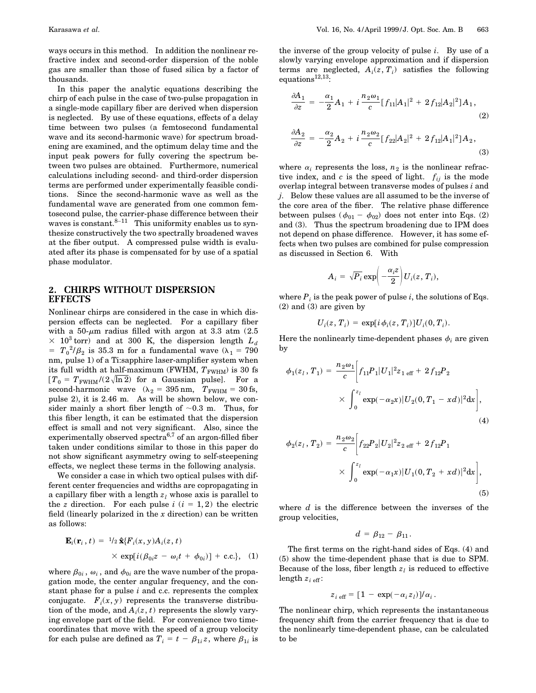ways occurs in this method. In addition the nonlinear refractive index and second-order dispersion of the noble gas are smaller than those of fused silica by a factor of thousands.

In this paper the analytic equations describing the chirp of each pulse in the case of two-pulse propagation in a single-mode capillary fiber are derived when dispersion is neglected. By use of these equations, effects of a delay time between two pulses (a femtosecond fundamental wave and its second-harmonic wave) for spectrum broadening are examined, and the optimum delay time and the input peak powers for fully covering the spectrum between two pulses are obtained. Furthermore, numerical calculations including second- and third-order dispersion terms are performed under experimentally feasible conditions. Since the second-harmonic wave as well as the fundamental wave are generated from one common femtosecond pulse, the carrier-phase difference between their waves is constant. $8-11$  This uniformity enables us to synthesize constructively the two spectrally broadened waves at the fiber output. A compressed pulse width is evaluated after its phase is compensated for by use of a spatial phase modulator.

# **2. CHIRPS WITHOUT DISPERSION EFFECTS**

Nonlinear chirps are considered in the case in which dispersion effects can be neglected. For a capillary fiber with a 50- $\mu$ m radius filled with argon at 3.3 atm (2.5)  $\times$  10<sup>3</sup> torr) and at 300 K, the dispersion length  $L_d$  $T = T_0^2/\beta_2$  is 35.3 m for a fundamental wave ( $\lambda_1 = 790$ nm, pulse 1) of a Ti:sapphire laser-amplifier system when its full width at half-maximum (FWHM,  $T_{\rm FWHM}$ ) is 30 fs  $T_0 = T_{\text{FWHM}}/(2\sqrt{\ln 2})$  for a Gaussian pulse]. For a second-harmonic wave  $(\lambda_2 = 395 \text{ nm}, T_{\text{FWHM}} = 30 \text{ fs},$ pulse 2), it is 2.46 m. As will be shown below, we consider mainly a short fiber length of  $\sim 0.3$  m. Thus, for this fiber length, it can be estimated that the dispersion effect is small and not very significant. Also, since the experimentally observed spectra<sup>6,7</sup> of an argon-filled fiber taken under conditions similar to those in this paper do not show significant asymmetry owing to self-steepening effects, we neglect these terms in the following analysis.

We consider a case in which two optical pulses with different center frequencies and widths are copropagating in a capillary fiber with a length  $z_l$  whose axis is parallel to the *z* direction. For each pulse  $i$   $(i = 1, 2)$  the electric field (linearly polarized in the *x* direction) can be written as follows:

$$
\mathbf{E}_i(\mathbf{r}_i, t) = \frac{1}{2} \hat{\mathbf{x}} \{ F_i(x, y) A_i(z, t) \times \exp[i(\beta_{0i}z - \omega_i t + \phi_{0i})] + \text{c.c.}\}, \quad (1)
$$

where  $\beta_{0i}$ ,  $\omega_i$ , and  $\phi_{0i}$  are the wave number of the propagation mode, the center angular frequency, and the constant phase for a pulse *i* and c.c. represents the complex conjugate.  $F_i(x, y)$  represents the transverse distribution of the mode, and  $A_i(z, t)$  represents the slowly varying envelope part of the field. For convenience two timecoordinates that move with the speed of a group velocity for each pulse are defined as  $T_i = t - \beta_{1i} z$ , where  $\beta_{1i}$  is the inverse of the group velocity of pulse *i*. By use of a slowly varying envelope approximation and if dispersion terms are neglected,  $A_i(z, T_i)$  satisfies the following  $equations<sup>12,13</sup>$ :

$$
\frac{\partial A_1}{\partial z} = -\frac{\alpha_1}{2} A_1 + i \frac{n_2 \omega_1}{c} [f_{11}|A_1|^2 + 2 f_{12}|A_2|^2] A_1,
$$
\n(2)\n
$$
\frac{\partial A_2}{\partial z} = -\frac{\alpha_2}{2} A_2 + i \frac{n_2 \omega_2}{c} [f_{22}|A_2|^2 + 2 f_{12}|A_1|^2] A_2,
$$

(3)

where  $\alpha_i$  represents the loss,  $n_2$  is the nonlinear refractive index, and  $c$  is the speed of light.  $f_{ij}$  is the mode overlap integral between transverse modes of pulses *i* and *j*. Below these values are all assumed to be the inverse of the core area of the fiber. The relative phase difference between pulses ( $\phi_{01} - \phi_{02}$ ) does not enter into Eqs. (2) and (3). Thus the spectrum broadening due to IPM does not depend on phase difference. However, it has some effects when two pulses are combined for pulse compression as discussed in Section 6. With

$$
A_i = \sqrt{P_i} \exp\left(-\frac{\alpha_i z}{2}\right) U_i(z, T_i),
$$

where  $P_i$  is the peak power of pulse *i*, the solutions of Eqs. (2) and (3) are given by

$$
U_i(z, T_i) = \exp[i\phi_i(z, T_i)]U_i(0, T_i).
$$

Here the nonlinearly time-dependent phases  $\phi_i$  are given by

$$
\phi_1(z_l, T_1) = \frac{n_2 \omega_1}{c} \bigg[ f_{11} P_1 |U_1|^2 z_{1 \text{ eff}} + 2 f_{12} P_2
$$
  
 
$$
\times \int_0^{z_l} \exp(-\alpha_2 x) |U_2(0, T_1 - x d)|^2 dx \bigg],
$$
  
(4)

$$
\phi_2(z_1, T_2) = \frac{n_2 \omega_2}{c} \bigg[ f_{22} P_2 |U_2|^2 z_{2 \text{ eff}} + 2 f_{12} P_1
$$
  
 
$$
\times \int_0^{z_1} \exp(-\alpha_1 x) |U_1(0, T_2 + xd)|^2 dx \bigg],
$$
 (5)

where *d* is the difference between the inverses of the group velocities,

$$
d=\beta_{12}-\beta_{11}.
$$

The first terms on the right-hand sides of Eqs. (4) and (5) show the time-dependent phase that is due to SPM. Because of the loss, fiber length  $z<sub>l</sub>$  is reduced to effective length  $z_{i \text{ eff}}$ :

$$
z_{i \text{ eff}} = [1 - \exp(-\alpha_i z_l)]/\alpha_i.
$$

The nonlinear chirp, which represents the instantaneous frequency shift from the carrier frequency that is due to the nonlinearly time-dependent phase, can be calculated to be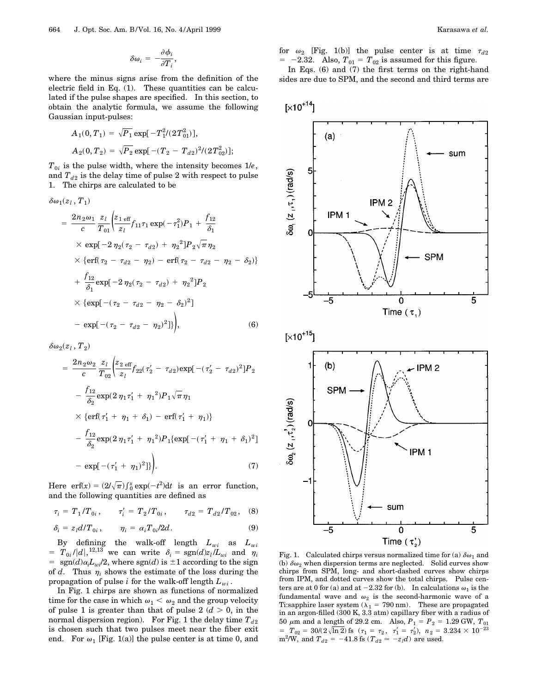$$
\delta\omega_i = -\frac{\partial \phi_i}{\partial T_i}
$$

,

where the minus signs arise from the definition of the electric field in Eq. (1). These quantities can be calculated if the pulse shapes are specified. In this section, to obtain the analytic formula, we assume the following Gaussian input-pulses:

$$
A_1(0,T_1) = \sqrt{P_1} \exp[-T_1^2/(2T_{01}^2)],
$$
  
\n
$$
A_2(0,T_2) = \sqrt{P_2} \exp[-(T_2 - T_{d2})^2/(2T_{02}^2)];
$$

 $T_{0i}$  is the pulse width, where the intensity becomes  $1/e$ , and  $T_{d2}$  is the delay time of pulse 2 with respect to pulse 1. The chirps are calculated to be

$$
\delta\omega_{1}(z_{l}, T_{1})
$$
\n
$$
= \frac{2n_{2}\omega_{1}}{c} \frac{z_{l}}{T_{01}} \left( \frac{z_{1 \text{ eff}}}{z_{l}} f_{11} \tau_{1} \exp(-\tau_{1}^{2}) P_{1} + \frac{f_{12}}{\delta_{1}} \right)
$$
\n
$$
\times \exp[-2\eta_{2}(\tau_{2} - \tau_{d2}) + \eta_{2}^{2}] P_{2} \sqrt{\pi} \eta_{2}
$$
\n
$$
\times \left\{ \text{erf}(\tau_{2} - \tau_{d2} - \eta_{2}) - \text{erf}(\tau_{2} - \tau_{d2} - \eta_{2} - \delta_{2}) \right\}
$$
\n
$$
+ \frac{f_{12}}{\delta_{1}} \exp[-2\eta_{2}(\tau_{2} - \tau_{d2}) + \eta_{2}^{2}] P_{2}
$$
\n
$$
\times \left\{ \exp[-(\tau_{2} - \tau_{d2} - \eta_{2} - \delta_{2})^{2}] \right]
$$
\n
$$
- \exp[-(\tau_{2} - \tau_{d2} - \eta_{2})^{2}]]
$$
\n(6)

 $\delta\omega_2(z_l, T_2)$ 

$$
= \frac{2n_2\omega_2}{c} \frac{z_l}{T_{02}} \left( \frac{z_{2 \text{ eff}}}{z_l} f_{22}(\tau_2' - \tau_{d2}) \exp[-(\tau_2' - \tau_{d2})^2] P_2 - \frac{f_{12}}{\delta_2} \exp(2\eta_1 \tau_1' + \eta_1^2) P_1 \sqrt{\pi} \eta_1 \right)
$$
  
 
$$
\times \left\{ \text{erf}(\tau_1' + \eta_1 + \delta_1) - \text{erf}(\tau_1' + \eta_1) \right\}
$$
  
 
$$
- \frac{f_{12}}{\delta_2} \exp(2\eta_1 \tau_1' + \eta_1^2) P_1 \left\{ \exp[-(\tau_1' + \eta_1 + \delta_1)^2] - \exp[-(\tau_1' + \eta_1)^2] \right\}.
$$
 (7)

Here erf(x) =  $\left(2/\sqrt{\pi}\right) \int_0^x \exp(-t^2) dt$  is an error function, and the following quantities are defined as

$$
\tau_i = T_1/T_{0i}, \qquad \tau'_i = T_2/T_{0i}, \qquad \tau_{d2} = T_{d2}/T_{02}, \quad (8)
$$

$$
\delta_i = z_l d/T_{0i}, \qquad \eta_i = \alpha_i T_{0i}/2d. \tag{9}
$$

By defining the walk-off length  $L_{wi}$  as  $L_{wi}$  $= T_{0i} / |d|,$ <sup>12,13</sup> we can write  $\delta_i = \text{sgn}(d)z_i/L_{wi}$  and  $\eta_i$  $=$  sgn(*d*) $\alpha_i L_{wi}/2$ , where sgn(*d*) is  $\pm 1$  according to the sign of *d*. Thus  $\eta_i$  shows the estimate of the loss during the propagation of pulse *i* for the walk-off length  $L_{wi}$ .

In Fig. 1 chirps are shown as functions of normalized time for the case in which  $\omega_1 < \omega_2$  and the group velocity of pulse 1 is greater than that of pulse  $2(d > 0)$ , in the normal dispersion region). For Fig. 1 the delay time  $T_{d2}$ is chosen such that two pulses meet near the fiber exit end. For  $\omega_1$  [Fig. 1(a)] the pulse center is at time 0, and

for  $\omega_2$  [Fig. 1(b)] the pulse center is at time  $\tau_{d2}$  $= -2.32$ . Also,  $T_{01} = T_{02}$  is assumed for this figure. In Eqs. (6) and (7) the first terms on the right-hand

sides are due to SPM, and the second and third terms are



Fig. 1. Calculated chirps versus normalized time for (a)  $\delta \omega_1$  and (b)  $\delta\omega_2$  when dispersion terms are neglected. Solid curves show chirps from SPM, long- and short-dashed curves show chirps from IPM, and dotted curves show the total chirps. Pulse centers are at 0 for (a) and at  $-2.32$  for (b). In calculations  $\omega_1$  is the fundamental wave and  $\omega_2$  is the second-harmonic wave of a Ti:sapphire laser system ( $\lambda_1$  = 790 nm). These are propagated<br>in an argon-filled (300 K, 3.3 atm) capillary fiber with a radius of  $50 \mu m$  and a length of 29.2 cm. Also,  $P_1 = P_2 = 1.29$  GW,  $T_{01} = T_{02} = 30/(2\sqrt{\ln 2})$  fs  $(\tau_1 = \tau_2, \tau_1' = \tau_2')$ ,  $n_2 = 3.234 \times 10^{-23}$  $m^2$ /W, and  $T_{d2} = -41.8$  fs ( $T_{d2} \approx -z_l d$ ) are used.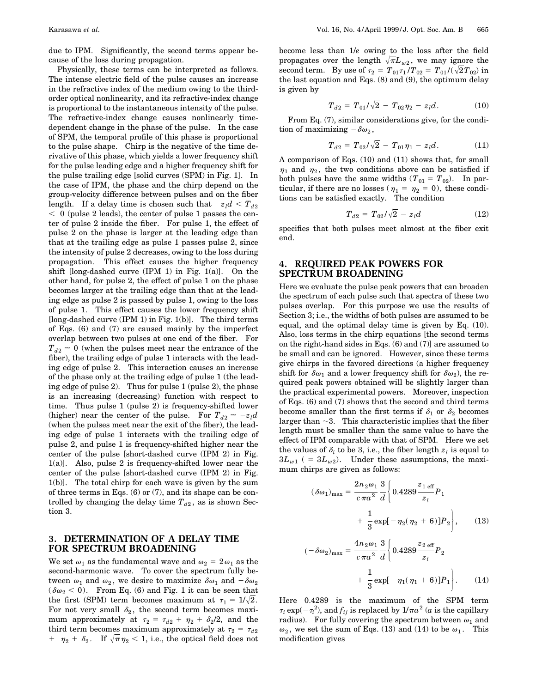due to IPM. Significantly, the second terms appear because of the loss during propagation.

Physically, these terms can be interpreted as follows. The intense electric field of the pulse causes an increase in the refractive index of the medium owing to the thirdorder optical nonlinearity, and its refractive-index change is proportional to the instantaneous intensity of the pulse. The refractive-index change causes nonlinearly timedependent change in the phase of the pulse. In the case of SPM, the temporal profile of this phase is proportional to the pulse shape. Chirp is the negative of the time derivative of this phase, which yields a lower frequency shift for the pulse leading edge and a higher frequency shift for the pulse trailing edge [solid curves (SPM) in Fig. 1]. In the case of IPM, the phase and the chirp depend on the group-velocity difference between pulses and on the fiber length. If a delay time is chosen such that  $-z<sub>l</sub>d < T<sub>d2</sub>$  $<$  0 (pulse 2 leads), the center of pulse 1 passes the center of pulse 2 inside the fiber. For pulse 1, the effect of pulse 2 on the phase is larger at the leading edge than that at the trailing edge as pulse 1 passes pulse 2, since the intensity of pulse 2 decreases, owing to the loss during propagation. This effect causes the higher frequency shift [long-dashed curve  $(IPM 1)$  in Fig. 1(a)]. On the other hand, for pulse 2, the effect of pulse 1 on the phase becomes larger at the trailing edge than that at the leading edge as pulse 2 is passed by pulse 1, owing to the loss of pulse 1. This effect causes the lower frequency shift [long-dashed curve (IPM 1) in Fig. 1(b)]. The third terms of Eqs. (6) and (7) are caused mainly by the imperfect overlap between two pulses at one end of the fiber. For  $T_{d2} \approx 0$  (when the pulses meet near the entrance of the fiber), the trailing edge of pulse 1 interacts with the leading edge of pulse 2. This interaction causes an increase of the phase only at the trailing edge of pulse 1 (the leading edge of pulse 2). Thus for pulse 1 (pulse 2), the phase is an increasing (decreasing) function with respect to time. Thus pulse 1 (pulse 2) is frequency-shifted lower (higher) near the center of the pulse. For  $T_{d2} \approx -z_l d$ (when the pulses meet near the exit of the fiber), the leading edge of pulse 1 interacts with the trailing edge of pulse 2, and pulse 1 is frequency-shifted higher near the center of the pulse [short-dashed curve (IPM 2) in Fig. 1(a)]. Also, pulse 2 is frequency-shifted lower near the center of the pulse [short-dashed curve (IPM 2) in Fig. 1(b)]. The total chirp for each wave is given by the sum of three terms in Eqs. (6) or (7), and its shape can be controlled by changing the delay time  $T_{d2}$ , as is shown Section 3.

# **3. DETERMINATION OF A DELAY TIME FOR SPECTRUM BROADENING**

We set  $\omega_1$  as the fundamental wave and  $\omega_2 = 2\omega_1$  as the second-harmonic wave. To cover the spectrum fully between  $\omega_1$  and  $\omega_2$ , we desire to maximize  $\delta \omega_1$  and  $-\delta \omega_2$  $(\delta\omega_2 < 0)$ . From Eq. (6) and Fig. 1 it can be seen that the first (SPM) term becomes maximum at  $\tau_1 = 1/\sqrt{2}$ . For not very small  $\delta_2$ , the second term becomes maximum approximately at  $\tau_2 = \tau_{d2} + \eta_2 + \delta_2/2$ , and the third term becomes maximum approximately at  $\tau_2 = \tau_{d2}$  $+ \eta_2 + \delta_2$ . If  $\sqrt{\pi} \eta_2 < 1$ , i.e., the optical field does not become less than 1/*e* owing to the loss after the field propagates over the length  $\sqrt{\pi}L_{w2}$ , we may ignore the second term. By use of  $\tau_2 = T_{01}\tau_1/T_{02} = T_{01}/(\sqrt{2}T_{02})$  in the last equation and Eqs. (8) and (9), the optimum delay is given by

$$
T_{d2} = T_{01}/\sqrt{2} - T_{02}\eta_2 - z_l d. \tag{10}
$$

From Eq. (7), similar considerations give, for the condition of maximizing  $-\delta\omega_2$ ,

$$
T_{d2} = T_{02}/\sqrt{2} - T_{01}\eta_1 - z_l d. \qquad (11)
$$

A comparison of Eqs. (10) and (11) shows that, for small  $\eta_1$  and  $\eta_2$ , the two conditions above can be satisfied if both pulses have the same widths  $(T_{01} = T_{02})$ . In particular, if there are no losses ( $\eta_1 = \eta_2 = 0$ ), these conditions can be satisfied exactly. The condition

$$
T_{d2} = T_{02}/\sqrt{2} - z_l d \tag{12}
$$

specifies that both pulses meet almost at the fiber exit end.

# **4. REQUIRED PEAK POWERS FOR SPECTRUM BROADENING**

Here we evaluate the pulse peak powers that can broaden the spectrum of each pulse such that spectra of these two pulses overlap. For this purpose we use the results of Section 3; i.e., the widths of both pulses are assumed to be equal, and the optimal delay time is given by Eq. (10). Also, loss terms in the chirp equations [the second terms on the right-hand sides in Eqs. (6) and (7)] are assumed to be small and can be ignored. However, since these terms give chirps in the favored directions (a higher frequency shift for  $\delta\omega_1$  and a lower frequency shift for  $\delta\omega_2$ ), the required peak powers obtained will be slightly larger than the practical experimental powers. Moreover, inspection of Eqs. (6) and (7) shows that the second and third terms become smaller than the first terms if  $\delta_1$  or  $\delta_2$  becomes larger than  $\sim$  3. This characteristic implies that the fiber length must be smaller than the same value to have the effect of IPM comparable with that of SPM. Here we set the values of  $\delta_i$  to be 3, i.e., the fiber length  $z_i$  is equal to  $3L_{w1}$  ( =  $3L_{w2}$ ). Under these assumptions, the maximum chirps are given as follows:

$$
(\delta \omega_1)_{\text{max}} = \frac{2n_2 \omega_1}{c \pi a^2} \frac{3}{d} \left\{ 0.4289 \frac{z_{1 \text{ eff}}}{z_l} P_1 + \frac{1}{3} \exp[-\eta_2 (\eta_2 + 6)] P_2 \right\}, \quad (13)
$$

$$
(-\delta\omega_2)_{\text{max}} = \frac{4n_2\omega_1}{c\pi a^2} \frac{3}{d} \left\{ 0.4289 \frac{z_{2\text{ eff}}}{z_l} P_2 + \frac{1}{3} \exp[-\eta_1(\eta_1 + 6)] P_1 \right\}.
$$
 (14)

Here 0.4289 is the maximum of the SPM term  $\tau_i \exp(-\tau_i^2)$ , and  $f_{ij}$  is replaced by  $1/\pi a^2$  (*a* is the capillary radius). For fully covering the spectrum between  $\omega_1$  and  $\omega_2$ , we set the sum of Eqs. (13) and (14) to be  $\omega_1$ . This modification gives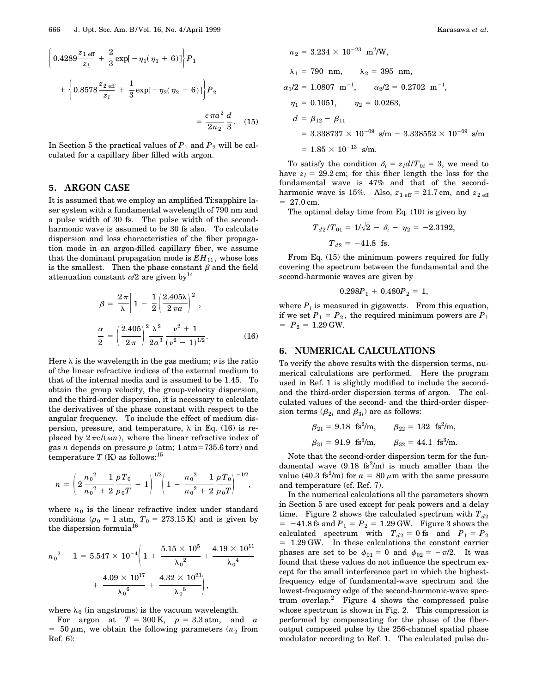$$
\left\{ 0.4289 \frac{z_{1 \text{ eff}}}{z_{l}} + \frac{2}{3} \exp[-\eta_{1}(\eta_{1} + 6)] \right\} P_{1}
$$

$$
+ \left\{ 0.8578 \frac{z_{2 \text{ eff}}}{z_{l}} + \frac{1}{3} \exp[-\eta_{2}(\eta_{2} + 6)] \right\} P_{2}
$$

$$
= \frac{c \pi a^{2}}{2n_{2}} \frac{d}{3}. \quad (15)
$$

In Section 5 the practical values of  $P_1$  and  $P_2$  will be calculated for a capillary fiber filled with argon.

#### **5. ARGON CASE**

It is assumed that we employ an amplified Ti:sapphire laser system with a fundamental wavelength of 790 nm and a pulse width of 30 fs. The pulse width of the secondharmonic wave is assumed to be 30 fs also. To calculate dispersion and loss characteristics of the fiber propagation mode in an argon-filled capillary fiber, we assume that the dominant propagation mode is  $EH_{11}$ , whose loss is the smallest. Then the phase constant  $\beta$  and the field attenuation constant  $\alpha/2$  are given by<sup>14</sup>

$$
\beta = \frac{2\pi}{\lambda} \left[ 1 - \frac{1}{2} \left( \frac{2.405\lambda}{2\pi a} \right)^2 \right],
$$
  

$$
\frac{\alpha}{2} = \left( \frac{2.405}{2\pi} \right)^2 \frac{\lambda^2}{2a^3} \frac{\nu^2 + 1}{(\nu^2 - 1)^{1/2}}.
$$
 (16)

Here  $\lambda$  is the wavelength in the gas medium;  $\nu$  is the ratio of the linear refractive indices of the external medium to that of the internal media and is assumed to be 1.45. To obtain the group velocity, the group-velocity dispersion, and the third-order dispersion, it is necessary to calculate the derivatives of the phase constant with respect to the angular frequency. To include the effect of medium dispersion, pressure, and temperature,  $\lambda$  in Eq. (16) is replaced by  $2\pi c/(\omega n)$ , where the linear refractive index of gas *n* depends on pressure  $p$  (atm; 1 atm=735.6 torr) and temperature  $T$  (K) as follows:<sup>15</sup>

$$
n = \left(2\frac{{n_0}^2 - 1}{n_0^2 + 2}\frac{pT_0}{p_0T} + 1\right)^{1/2} \left(1 - \frac{{n_0}^2 - 1}{n_0^2 + 2}\frac{pT_0}{p_0T}\right)^{-1/2},
$$

where  $n_0$  is the linear refractive index under standard conditions ( $p_0 = 1$  atm,  $T_0 = 273.15$  K) and is given by the dispersion formula<sup>16</sup>

$$
{n_0}^2 - 1 = 5.547 \times 10^{-4} \bigg(1 + \frac{5.15 \times 10^5}{\lambda_0^2} + \frac{4.19 \times 10^{11}}{\lambda_0^4} \\ + \frac{4.09 \times 10^{17}}{\lambda_0^6} + \frac{4.32 \times 10^{23}}{\lambda_0^8} \bigg),
$$

where  $\lambda_0$  (in angstroms) is the vacuum wavelength.

For argon at  $T = 300 \text{ K}$ ,  $p = 3.3 \text{ atm}$ , and *a*  $= 50 \mu \text{m}$ , we obtain the following parameters ( $n_2$  from Ref. 6):

$$
n_2 = 3.234 \times 10^{-23} \text{ m}^2/\text{W},
$$
  
\n
$$
\lambda_1 = 790 \text{ nm}, \qquad \lambda_2 = 395 \text{ nm},
$$
  
\n
$$
\alpha_1/2 = 1.0807 \text{ m}^{-1}, \qquad \alpha_2/2 = 0.2702 \text{ m}^{-1},
$$
  
\n
$$
\eta_1 = 0.1051, \qquad \eta_2 = 0.0263,
$$
  
\n
$$
d = \beta_{12} - \beta_{11}
$$
  
\n
$$
= 3.338737 \times 10^{-09} \text{ s/m} - 3.338552 \times 10^{-09} \text{ s/m}
$$
  
\n
$$
= 1.85 \times 10^{-13} \text{ s/m}.
$$

To satisfy the condition  $\delta_i = z_l d/T_{0i} = 3$ , we need to have  $z_l = 29.2$  cm; for this fiber length the loss for the fundamental wave is 47% and that of the secondharmonic wave is 15%. Also,  $z_{1 \text{ eff}} = 21.7 \text{ cm}$ , and  $z_{2 \text{ eff}}$  $= 27.0$  cm.

The optimal delay time from Eq. (10) is given by

$$
T_{d2}/T_{01} = 1/\sqrt{2} - \delta_i - \eta_2 = -2.3192,
$$
  

$$
T_{d2} = -41.8 \text{ fs.}
$$

From Eq. (15) the minimum powers required for fully covering the spectrum between the fundamental and the second-harmonic waves are given by

$$
0.298P_1 + 0.480P_2 = 1,
$$

where  $P_i$  is measured in gigawatts. From this equation, if we set  $P_1 = P_2$ , the required minimum powers are  $P_1$  $= P_2 = 1.29$  GW.

#### **6. NUMERICAL CALCULATIONS**

To verify the above results with the dispersion terms, numerical calculations are performed. Here the program used in Ref. 1 is slightly modified to include the secondand the third-order dispersion terms of argon. The calculated values of the second- and the third-order dispersion terms ( $\beta_{2i}$  and  $\beta_{3i}$ ) are as follows:

$$
\beta_{21} = 9.18 \text{ fs}^2/\text{m},
$$
  $\beta_{22} = 132 \text{ fs}^2/\text{m},$   
\n $\beta_{31} = 91.9 \text{ fs}^3/\text{m},$   $\beta_{32} = 44.1 \text{ fs}^3/\text{m}.$ 

Note that the second-order dispersion term for the fundamental wave  $(9.18 \text{ fs}^2/\text{m})$  is much smaller than the value (40.3 fs<sup>2</sup>/m) for  $a = 80 \mu$ m with the same pressure and temperature (cf. Ref. 7).

In the numerical calculations all the parameters shown in Section 5 are used except for peak powers and a delay time. Figure 2 shows the calculated spectrum with  $T_{d2}$  $= -41.8$  fs and  $P_1 = P_2 = 1.29$  GW. Figure 3 shows the calculated spectrum with  $T_{d2} = 0$  fs and  $P_1 = P_2$ 5 1.29 GW. In these calculations the constant carrier phases are set to be  $\phi_{01} = 0$  and  $\phi_{02} = -\pi/2$ . It was found that these values do not influence the spectrum except for the small interference part in which the highestfrequency edge of fundamental-wave spectrum and the lowest-frequency edge of the second-harmonic-wave spectrum overlap.2 Figure 4 shows the compressed pulse whose spectrum is shown in Fig. 2. This compression is performed by compensating for the phase of the fiberoutput composed pulse by the 256-channel spatial phase modulator according to Ref. 1. The calculated pulse du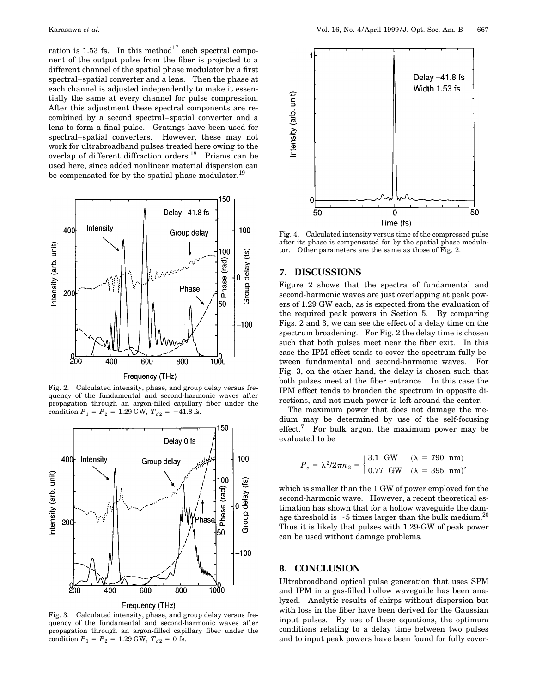ration is 1.53 fs. In this method<sup>17</sup> each spectral component of the output pulse from the fiber is projected to a different channel of the spatial phase modulator by a first spectral–spatial converter and a lens. Then the phase at each channel is adjusted independently to make it essentially the same at every channel for pulse compression. After this adjustment these spectral components are recombined by a second spectral–spatial converter and a lens to form a final pulse. Gratings have been used for spectral–spatial converters. However, these may not work for ultrabroadband pulses treated here owing to the overlap of different diffraction orders.18 Prisms can be used here, since added nonlinear material dispersion can be compensated for by the spatial phase modulator.<sup>19</sup>



Frequency (THz)

Fig. 2. Calculated intensity, phase, and group delay versus frequency of the fundamental and second-harmonic waves after propagation through an argon-filled capillary fiber under the condition  $P_1 = P_2 = 1.29$  GW,  $T_{d2} = -41.8$  fs.



Fig. 3. Calculated intensity, phase, and group delay versus frequency of the fundamental and second-harmonic waves after propagation through an argon-filled capillary fiber under the condition  $P_1 = P_2 = 1.29$  GW,  $T_{d2} = 0$  fs.



Fig. 4. Calculated intensity versus time of the compressed pulse after its phase is compensated for by the spatial phase modulator. Other parameters are the same as those of Fig. 2.

#### **7. DISCUSSIONS**

Figure 2 shows that the spectra of fundamental and second-harmonic waves are just overlapping at peak powers of 1.29 GW each, as is expected from the evaluation of the required peak powers in Section 5. By comparing Figs. 2 and 3, we can see the effect of a delay time on the spectrum broadening. For Fig. 2 the delay time is chosen such that both pulses meet near the fiber exit. In this case the IPM effect tends to cover the spectrum fully between fundamental and second-harmonic waves. For Fig. 3, on the other hand, the delay is chosen such that both pulses meet at the fiber entrance. In this case the IPM effect tends to broaden the spectrum in opposite directions, and not much power is left around the center.

The maximum power that does not damage the medium may be determined by use of the self-focusing effect.<sup>7</sup> For bulk argon, the maximum power may be evaluated to be

$$
P_c = \lambda^2 / 2\pi n_2 = \begin{cases} 3.1 \text{ GW} & (\lambda = 790 \text{ nm}) \\ 0.77 \text{ GW} & (\lambda = 395 \text{ nm}) \end{cases}
$$

which is smaller than the 1 GW of power employed for the second-harmonic wave. However, a recent theoretical estimation has shown that for a hollow waveguide the damage threshold is  $\sim$ 5 times larger than the bulk medium.<sup>20</sup> Thus it is likely that pulses with 1.29-GW of peak power can be used without damage problems.

#### **8. CONCLUSION**

Ultrabroadband optical pulse generation that uses SPM and IPM in a gas-filled hollow waveguide has been analyzed. Analytic results of chirps without dispersion but with loss in the fiber have been derived for the Gaussian input pulses. By use of these equations, the optimum conditions relating to a delay time between two pulses and to input peak powers have been found for fully cover